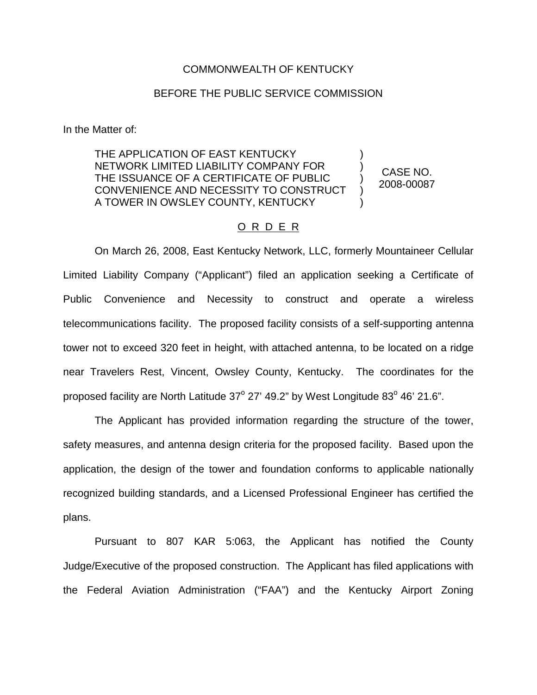## COMMONWEALTH OF KENTUCKY

## BEFORE THE PUBLIC SERVICE COMMISSION

In the Matter of:

THE APPLICATION OF EAST KENTUCKY NETWORK LIMITED LIABILITY COMPANY FOR THE ISSUANCE OF A CERTIFICATE OF PUBLIC CONVENIENCE AND NECESSITY TO CONSTRUCT A TOWER IN OWSLEY COUNTY, KENTUCKY

CASE NO. 2008-00087

) ) ) ) )

## O R D E R

On March 26, 2008, East Kentucky Network, LLC, formerly Mountaineer Cellular Limited Liability Company ("Applicant") filed an application seeking a Certificate of Public Convenience and Necessity to construct and operate a wireless telecommunications facility. The proposed facility consists of a self-supporting antenna tower not to exceed 320 feet in height, with attached antenna, to be located on a ridge near Travelers Rest, Vincent, Owsley County, Kentucky. The coordinates for the proposed facility are North Latitude  $37^{\circ}$  27' 49.2" by West Longitude  $83^{\circ}$  46' 21.6".

The Applicant has provided information regarding the structure of the tower, safety measures, and antenna design criteria for the proposed facility. Based upon the application, the design of the tower and foundation conforms to applicable nationally recognized building standards, and a Licensed Professional Engineer has certified the plans.

Pursuant to 807 KAR 5:063, the Applicant has notified the County Judge/Executive of the proposed construction. The Applicant has filed applications with the Federal Aviation Administration ("FAA") and the Kentucky Airport Zoning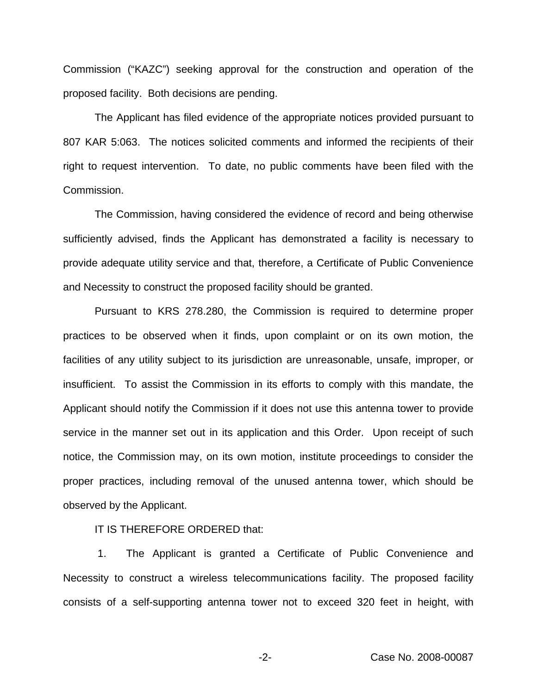Commission ("KAZC") seeking approval for the construction and operation of the proposed facility. Both decisions are pending.

The Applicant has filed evidence of the appropriate notices provided pursuant to 807 KAR 5:063. The notices solicited comments and informed the recipients of their right to request intervention. To date, no public comments have been filed with the Commission.

The Commission, having considered the evidence of record and being otherwise sufficiently advised, finds the Applicant has demonstrated a facility is necessary to provide adequate utility service and that, therefore, a Certificate of Public Convenience and Necessity to construct the proposed facility should be granted.

Pursuant to KRS 278.280, the Commission is required to determine proper practices to be observed when it finds, upon complaint or on its own motion, the facilities of any utility subject to its jurisdiction are unreasonable, unsafe, improper, or insufficient. To assist the Commission in its efforts to comply with this mandate, the Applicant should notify the Commission if it does not use this antenna tower to provide service in the manner set out in its application and this Order. Upon receipt of such notice, the Commission may, on its own motion, institute proceedings to consider the proper practices, including removal of the unused antenna tower, which should be observed by the Applicant.

IT IS THEREFORE ORDERED that:

1. The Applicant is granted a Certificate of Public Convenience and Necessity to construct a wireless telecommunications facility. The proposed facility consists of a self-supporting antenna tower not to exceed 320 feet in height, with